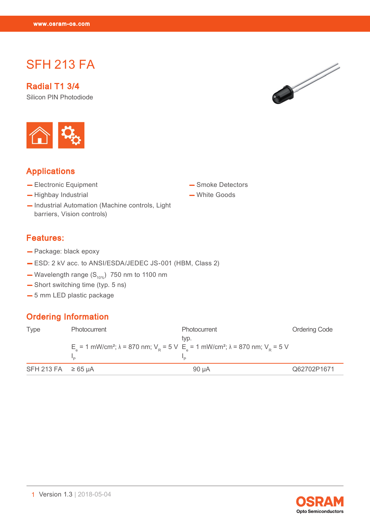SFH 213 FAMILY 2012

# SFH 213 FA

Radial T1 3/4 Silicon PIN Photodiode



# Applications

- Electronic Equipment
- Highbay Industrial
- Industrial Automation (Machine controls, Light barriers, Vision controls)

# — Smoke Detectors

— White Goods

#### Features:

- Package: black epoxy
- ESD: 2 kV acc. to ANSI/ESDA/JEDEC JS-001 (HBM, Class 2)
- Wavelength range  $(S_{10\%})$  750 nm to 1100 nm
- Short switching time (typ. 5 ns)
- 5 mm LED plastic package

# Ordering Information

| <b>Type</b>             | Photocurrent                                                                                                                  | <b>Photocurrent</b> | <b>Ordering Code</b> |
|-------------------------|-------------------------------------------------------------------------------------------------------------------------------|---------------------|----------------------|
|                         | $Ea$ = 1 mW/cm <sup>2</sup> ; λ = 870 nm; V <sub>p</sub> = 5 V $Ea$ = 1 mW/cm <sup>2</sup> ; λ = 870 nm; V <sub>p</sub> = 5 V | typ.                |                      |
| SFH 213 FA $\geq 65$ µA |                                                                                                                               | .90 uA              | Q62702P1671          |



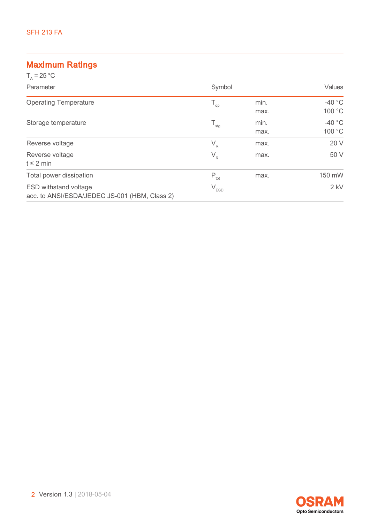# Maximum Ratings

| $T_{0}$ = 25 °C                                                               |                           |              |                    |
|-------------------------------------------------------------------------------|---------------------------|--------------|--------------------|
| Parameter                                                                     | Symbol                    |              | Values             |
| <b>Operating Temperature</b>                                                  | $T_{op}$                  | min.<br>max. | $-40$ °C<br>100 °C |
| Storage temperature                                                           | $\mathsf{T}_{\text{stg}}$ | min.<br>max. | $-40$ °C<br>100 °C |
| Reverse voltage                                                               | $V_R$                     | max.         | 20 V               |
| Reverse voltage<br>$t \leq 2$ min                                             | $V_R$                     | max.         | 50 V               |
| Total power dissipation                                                       | $P_{\text{tot}}$          | max.         | 150 mW             |
| <b>ESD withstand voltage</b><br>acc. to ANSI/ESDA/JEDEC JS-001 (HBM, Class 2) | $V_{ESD}$                 |              | $2$ kV             |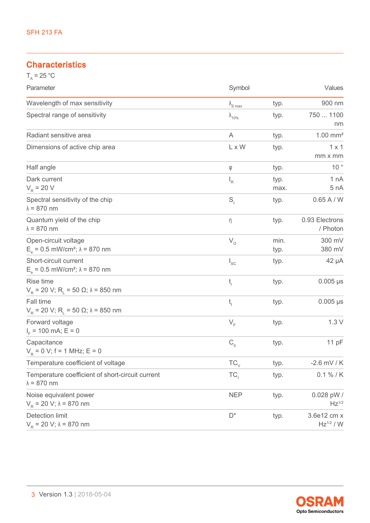# **Characteristics**

| $T_A = 25 °C$                                                                |                          |              |                               |
|------------------------------------------------------------------------------|--------------------------|--------------|-------------------------------|
| Parameter                                                                    | Symbol                   |              | Values                        |
| Wavelength of max sensitivity                                                | $\lambda_{\text{S max}}$ | typ.         | 900 nm                        |
| Spectral range of sensitivity                                                | $\lambda_{10\%}$         | typ.         | 750  1100<br>nm               |
| Radiant sensitive area                                                       | A                        | typ.         | $1.00$ mm <sup>2</sup>        |
| Dimensions of active chip area                                               | L x W                    | typ.         | $1 \times 1$<br>mm x mm       |
| Half angle                                                                   | φ                        | typ.         | $10^{\circ}$                  |
| Dark current<br>$V_R$ = 20 V                                                 | $I_R$                    | typ.<br>max. | 1 nA<br>5 nA                  |
| Spectral sensitivity of the chip<br>$\lambda = 870$ nm                       | $S_{\lambda}$            | typ.         | 0.65 A/W                      |
| Quantum yield of the chip<br>$\lambda = 870$ nm                              | η                        | typ.         | 0.93 Electrons<br>/ Photon    |
| Open-circuit voltage<br>$E_a = 0.5$ mW/cm <sup>2</sup> ; $\lambda = 870$ nm  | $V_{o}$                  | min.<br>typ. | 300 mV<br>380 mV              |
| Short-circuit current<br>$E_e = 0.5$ mW/cm <sup>2</sup> ; $\lambda = 870$ nm | $I_{SC}$                 | typ.         | 42 µA                         |
| Rise time<br>$V_R$ = 20 V; R <sub>i</sub> = 50 Ω; λ = 850 nm                 | $t_{\rm r}$              | typ.         | $0.005 \,\mu s$               |
| Fall time<br>$V_R$ = 20 V; R <sub>L</sub> = 50 Ω; λ = 850 nm                 | t,                       | typ.         | $0.005 \,\mu s$               |
| Forward voltage<br>$I_{E}$ = 100 mA; E = 0                                   | $V_F$                    | typ.         | 1.3V                          |
| Capacitance<br>$V_{\rm p} = 0$ V; f = 1 MHz; E = 0                           | $C_{0}$                  | typ.         | 11 pF                         |
| Temperature coefficient of voltage                                           | $TC_{\vee}$              | typ.         | $-2.6$ mV / K                 |
| Temperature coefficient of short-circuit current<br>$\lambda = 870$ nm       | TC <sub>1</sub>          | typ.         | $0.1 \% / K$                  |
| Noise equivalent power<br>$V_R$ = 20 V; $\lambda$ = 870 nm                   | <b>NEP</b>               | typ.         | 0.028 pW /<br>$Hz^{1/2}$      |
| <b>Detection limit</b><br>$V_p = 20 V; \lambda = 870$ nm                     | $D^*$                    | typ.         | 3.6e12 cm x<br>$Hz^{1/2} / W$ |

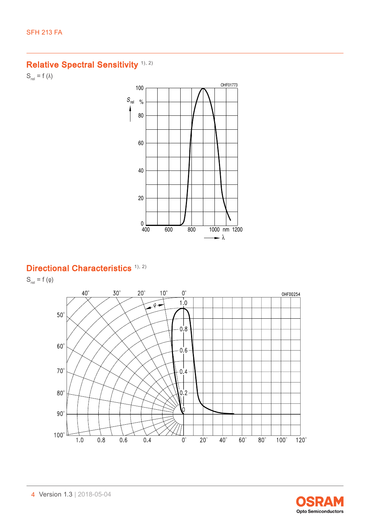# Relative Spectral Sensitivity<sup>([1\)](#page-11-0), [2\)](#page-11-1)</sup>

 $S_{rel} = f (\lambda)$ 



# Directional Characteristics<sup>[1\),](#page-11-0) [2\)](#page-11-1)</sup>

 $S_{rel} = f(\varphi)$ 



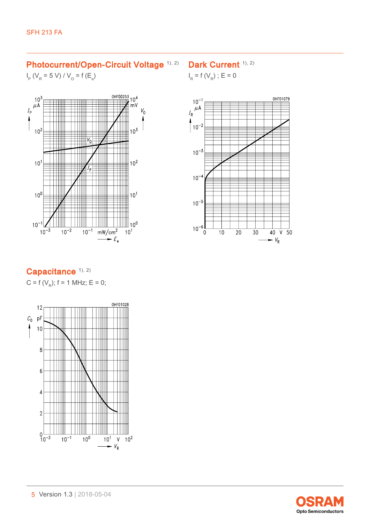### Photocurrent/Open-Circuit Voltage [1\),](#page-11-0) [2\)](#page-11-1)

# Dark Current [1\)](#page-11-0), [2\)](#page-11-1)

 $I_{\rm p}$  (V<sub>R</sub> = 5 V) / V<sub>o</sub> = f (E<sub>e</sub>)



# $I_R = f(V_R)$ ; E = 0



# Capacitance [1\)](#page-11-0), [2\)](#page-11-1)

C = f ( $V_R$ ); f = 1 MHz; E = 0;



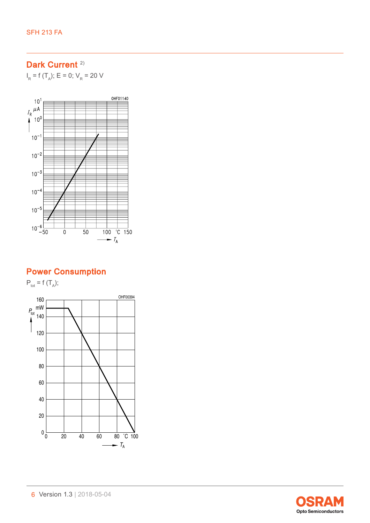# Dark Current<sup>[2\)](#page-11-1)</sup>

 $I_R$  = f (T<sub>A</sub>); E = 0; V<sub>R</sub> = 20 V



# Power Consumption

 $P_{\text{tot}} = f(T_A);$ 



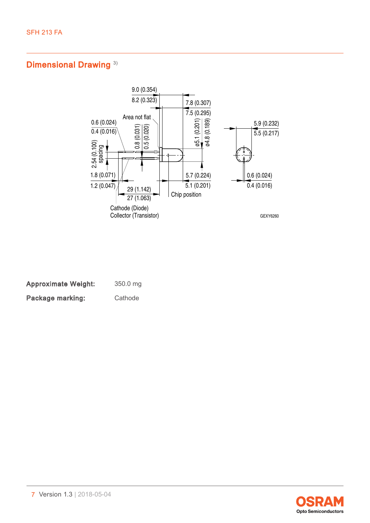# Dimensional Drawing<sup>3)</sup>



| <b>Approximate Weight:</b> | 350.0 mg |
|----------------------------|----------|
| Package marking:           | Cathode  |

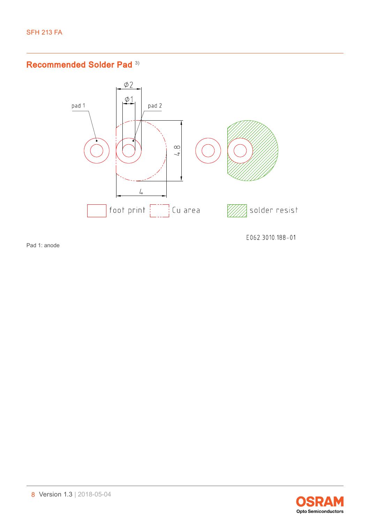# Recommended Solder Pad [3\)](#page-11-2)



Pad 1: anode

E062.3010.188-01

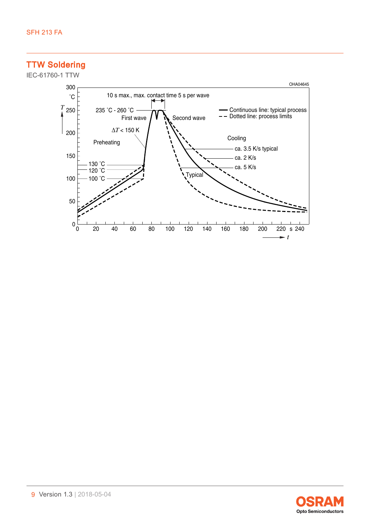TTW Soldering



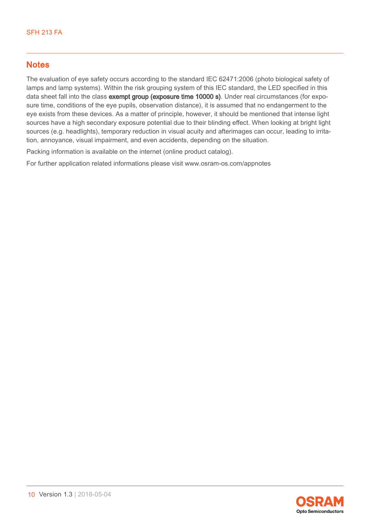## **Notes**

The evaluation of eye safety occurs according to the standard IEC 62471:2006 (photo biological safety of lamps and lamp systems). Within the risk grouping system of this IEC standard, the LED specified in this data sheet fall into the class exempt group (exposure time 10000 s). Under real circumstances (for exposure time, conditions of the eye pupils, observation distance), it is assumed that no endangerment to the eye exists from these devices. As a matter of principle, however, it should be mentioned that intense light sources have a high secondary exposure potential due to their blinding effect. When looking at bright light sources (e.g. headlights), temporary reduction in visual acuity and afterimages can occur, leading to irritation, annoyance, visual impairment, and even accidents, depending on the situation.

Packing information is available on the internet (online product catalog).

For further application related informations please visit www.osram-os.com/appnotes

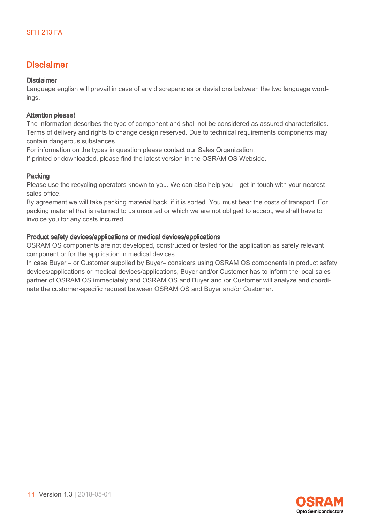### Disclaimer

#### Disclaimer

Language english will prevail in case of any discrepancies or deviations between the two language wordings.

#### Attention please!

The information describes the type of component and shall not be considered as assured characteristics. Terms of delivery and rights to change design reserved. Due to technical requirements components may contain dangerous substances.

For information on the types in question please contact our Sales Organization.

If printed or downloaded, please find the latest version in the OSRAM OS Webside.

#### Packing

Please use the recycling operators known to you. We can also help you – get in touch with your nearest sales office.

By agreement we will take packing material back, if it is sorted. You must bear the costs of transport. For packing material that is returned to us unsorted or which we are not obliged to accept, we shall have to invoice you for any costs incurred.

#### Product safety devices/applications or medical devices/applications

OSRAM OS components are not developed, constructed or tested for the application as safety relevant component or for the application in medical devices.

In case Buyer – or Customer supplied by Buyer– considers using OSRAM OS components in product safety devices/applications or medical devices/applications, Buyer and/or Customer has to inform the local sales partner of OSRAM OS immediately and OSRAM OS and Buyer and /or Customer will analyze and coordinate the customer-specific request between OSRAM OS and Buyer and/or Customer.

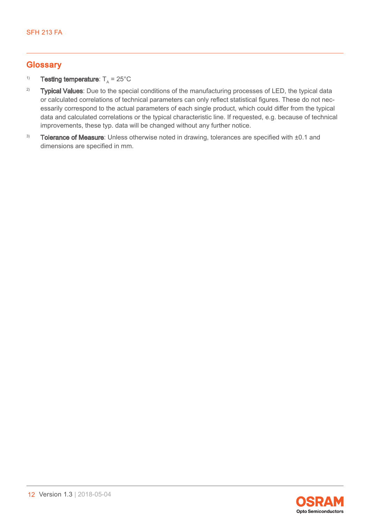## **Glossary**

#### <span id="page-11-0"></span><sup>1)</sup> Testing temperature:  $T_A = 25^{\circ}$ C

- <span id="page-11-1"></span><sup>2)</sup> Typical Values: Due to the special conditions of the manufacturing processes of LED, the typical data or calculated correlations of technical parameters can only reflect statistical figures. These do not necessarily correspond to the actual parameters of each single product, which could differ from the typical data and calculated correlations or the typical characteristic line. If requested, e.g. because of technical improvements, these typ. data will be changed without any further notice.
- <span id="page-11-2"></span> $3)$  Tolerance of Measure: Unless otherwise noted in drawing, tolerances are specified with  $\pm 0.1$  and dimensions are specified in mm.